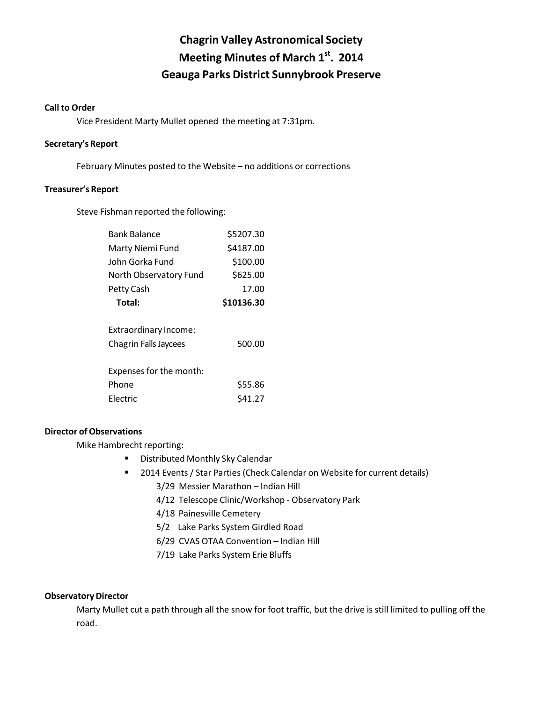# **Chagrin Valley Astronomical Society Meeting Minutes of March 1st. 2014 Geauga Parks District Sunnybrook Preserve**

# **Call to Order**

Vice President Marty Mullet opened the meeting at 7:31pm.

# Secretary's Report

February Minutes posted to the Website – no additions or corrections

#### **Treasurer's Report**

Steve Fishman reported the following:

| <b>Bank Balance</b>                                                              | \$5207.30          |
|----------------------------------------------------------------------------------|--------------------|
| Marty Niemi Fund                                                                 | \$4187.00          |
| John Gorka Fund                                                                  | \$100.00           |
| North Observatory Fund                                                           | \$625.00           |
| Petty Cash                                                                       | 17.00              |
| Total:                                                                           | \$10136.30         |
| Extraordinary Income:<br><b>Chagrin Falls Jaycees</b><br>Expenses for the month: | 500.00             |
| Phone<br><b>Flectric</b>                                                         | \$55.86<br>\$41.27 |
|                                                                                  |                    |

# **Director of Observations**

Mike Hambrecht reporting:

- **E** Distributed Monthly Sky Calendar
- 2014 Events / Star Parties (Check Calendar on Website for current details)
	- 3/29 Messier Marathon Indian Hill
	- 4/12 Telescope Clinic/Workshop Observatory Park
	- 4/18 Painesville Cemetery
	- 5/2 Lake Parks System Girdled Road
	- 6/29 CVAS OTAA Convention Indian Hill
	- 7/19 Lake Parks System Erie Bluffs

# **Observatory Director**

Marty Mullet cut a path through all the snow for foot traffic, but the drive is still limited to pulling off the road.